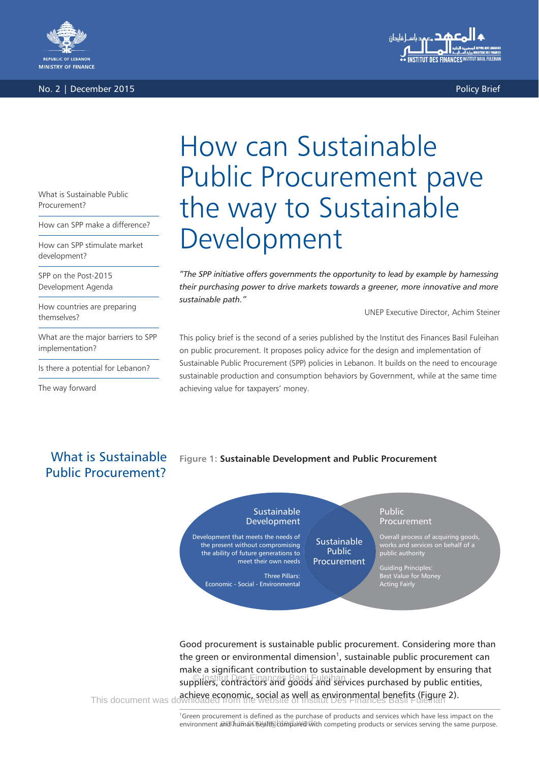

No. 2 | December 2015 | Policy Brief | Policy Brief | Policy Brief | Policy Brief | Policy Brief | Policy Brief



# How can Sustainable Public Procurement pave the way to Sustainable Development

*"The SPP initiative offers governments the opportunity to lead by example by harnessing their purchasing power to drive markets towards a greener, more innovative and more sustainable path."*

UNEP Executive Director, Achim Steiner

This policy brief is the second of a series published by the Institut des Finances Basil Fuleihan on public procurement. It proposes policy advice for the design and implementation of Sustainable Public Procurement (SPP) policies in Lebanon. It builds on the need to encourage sustainable production and consumption behaviors by Government, while at the same time achieving value for taxpayers' money.

### What is Sustainable Public Procurement?

**Figure 1: Sustainable Development and Public Procurement**

**Sustainable** Development Development that meets the needs of the present without compromising the ability of future generations to meet their own needs Three Pillars: Economic - Social - Environmental **Sustainable** Public Procurement Public **Procurement** Overall process of acquiring goods, works and services on behalf of a public authority Guiding Principles: Best Value for Money Acting Fairly

Good procurement is sustainable public procurement. Considering more than the green or environmental dimension<sup>1</sup>, sustainable public procurement can make a significant contribution to sustainable development by ensuring that suppliers, contractors and goods and services purchased by public entities, © Institut Des Finances Basil Fuleihan **achieve economic, social as well as environmental benefits (Figure 2).**<br>This document was downloaded from the website of Institut Des Finances Basil Fuleihan

> <sup>1</sup>Green procurement is defined as the purchase of products and services which have less impact on the environment and human health compared with competing products or services serving the same purpose.

### What is Sustainable Public Procurement?

How can SPP make a difference?

How can SPP stimulate market development?

SPP on the Post-2015 Development Agenda

How countries are preparing themselves?

What are the major barriers to SPP implementation?

Is there a potential for Lebanon?

The way forward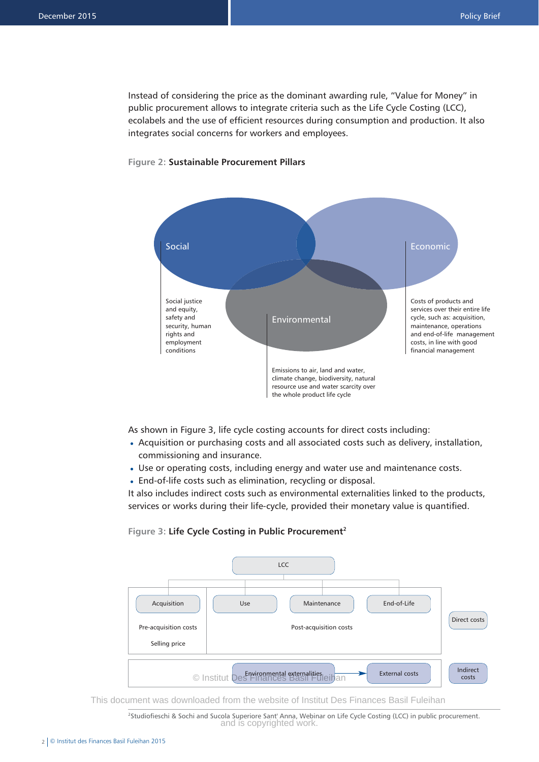Instead of considering the price as the dominant awarding rule, "Value for Money" in public procurement allows to integrate criteria such as the Life Cycle Costing (LCC), ecolabels and the use of efficient resources during consumption and production. It also integrates social concerns for workers and employees.



### **Figure 2: Sustainable Procurement Pillars**

As shown in Figure 3, life cycle costing accounts for direct costs including:

- Acquisition or purchasing costs and all associated costs such as delivery, installation, commissioning and insurance.
- Use or operating costs, including energy and water use and maintenance costs. •
- End-of-life costs such as elimination, recycling or disposal.

It also includes indirect costs such as environmental externalities linked to the products, services or works during their life-cycle, provided their monetary value is quantified.

### **Figure 3: Life Cycle Costing in Public Procurement2**



This document was downloaded from the website of Institut Des Finances Basil Fuleihan

2 Studiofieschi & Sochi and Sucola Superiore Sant' Anna, Webinar on Life Cycle Costing (LCC) in public procurement. and is copyrighted work.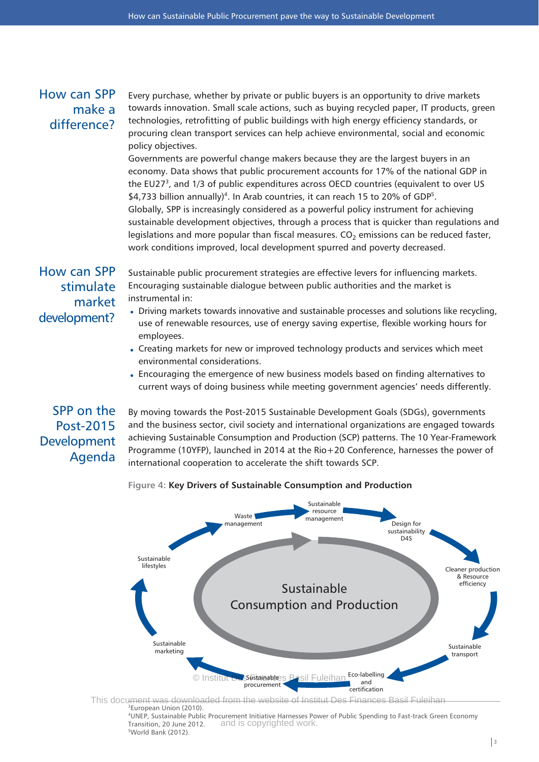### How can SPP make a difference?

Every purchase, whether by private or public buyers is an opportunity to drive markets towards innovation. Small scale actions, such as buying recycled paper, IT products, green technologies, retrofitting of public buildings with high energy efficiency standards, or procuring clean transport services can help achieve environmental, social and economic policy objectives.

Governments are powerful change makers because they are the largest buyers in an economy. Data shows that public procurement accounts for 17% of the national GDP in the EU27<sup>3</sup>, and 1/3 of public expenditures across OECD countries (equivalent to over US \$4,733 billion annually)<sup>4</sup>. In Arab countries, it can reach 15 to 20% of GDP<sup>5</sup>. Globally, SPP is increasingly considered as a powerful policy instrument for achieving sustainable development objectives, through a process that is quicker than regulations and legislations and more popular than fiscal measures.  $CO<sub>2</sub>$  emissions can be reduced faster, work conditions improved, local development spurred and poverty decreased.

### How can SPP stimulate market development?

Sustainable public procurement strategies are effective levers for influencing markets. Encouraging sustainable dialogue between public authorities and the market is instrumental in:

- Driving markets towards innovative and sustainable processes and solutions like recycling, use of renewable resources, use of energy saving expertise, flexible working hours for employees.
- Creating markets for new or improved technology products and services which meet environmental considerations.
- Encouraging the emergence of new business models based on finding alternatives to current ways of doing business while meeting government agencies' needs differently.

## SPP on the Post-2015 Development Agenda

By moving towards the Post-2015 Sustainable Development Goals (SDGs), governments and the business sector, civil society and international organizations are engaged towards achieving Sustainable Consumption and Production (SCP) patterns. The 10 Year-Framework Programme (10YFP), launched in 2014 at the Rio+20 Conference, harnesses the power of international cooperation to accelerate the shift towards SCP.

### **Figure 4: Key Drivers of Sustainable Consumption and Production**



Transition, 20 June 2012. 5 World Bank (2012). and is copyrighted work.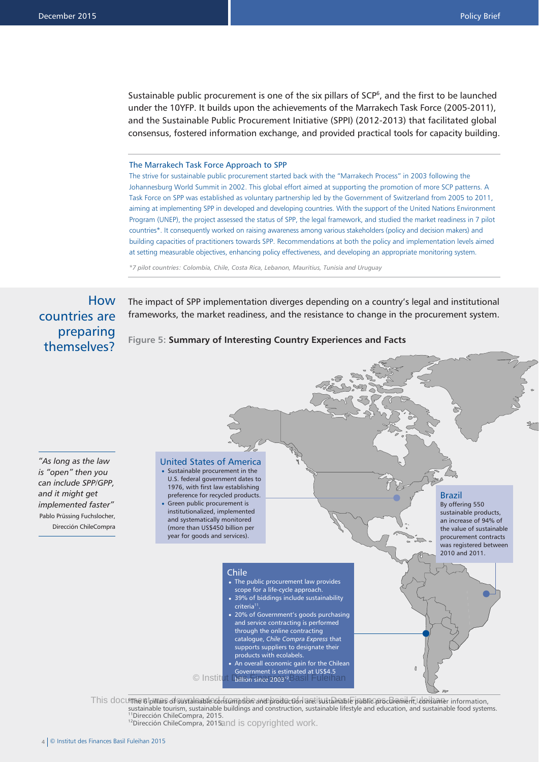Sustainable public procurement is one of the six pillars of  $SCP<sup>6</sup>$ , and the first to be launched under the 10YFP. It builds upon the achievements of the Marrakech Task Force (2005-2011), and the Sustainable Public Procurement Initiative (SPPI) (2012-2013) that facilitated global consensus, fostered information exchange, and provided practical tools for capacity building.

#### The Marrakech Task Force Approach to SPP

The strive for sustainable public procurement started back with the "Marrakech Process" in 2003 following the Johannesburg World Summit in 2002. This global effort aimed at supporting the promotion of more SCP patterns. A Task Force on SPP was established as voluntary partnership led by the Government of Switzerland from 2005 to 2011, aiming at implementing SPP in developed and developing countries. With the support of the United Nations Environment Program (UNEP), the project assessed the status of SPP, the legal framework, and studied the market readiness in 7 pilot countries\*. It consequently worked on raising awareness among various stakeholders (policy and decision makers) and building capacities of practitioners towards SPP. Recommendations at both the policy and implementation levels aimed at setting measurable objectives, enhancing policy effectiveness, and developing an appropriate monitoring system.

*\*7 pilot countries: Colombia, Chile, Costa Rica, Lebanon, Mauritius, Tunisia and Uruguay* 

How countries are preparing themselves?

The impact of SPP implementation diverges depending on a country's legal and institutional frameworks, the market readiness, and the resistance to change in the procurement system.

#### **Figure 5: Summary of Interesting Country Experiences and Facts**

*"As long as the law is "open" then you can include SPP/GPP, and it might get implemented faster"* Pablo Prüssing Fuchslocher, Dirección ChileCompra



sustainable tourism, sustainable buildings and construction, sustainable lifestyle and education, and sustainable food systems.<br><sup>11</sup>Dirección ChileCompra, 2015. 11Dirección ChileCompra, 2015.<br>12Dirección ChileCompra, 2015and is copyrighted work.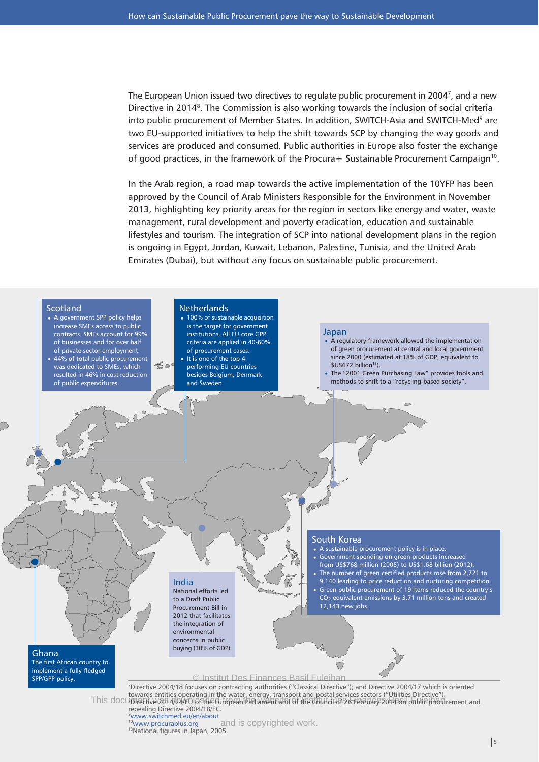The European Union issued two directives to regulate public procurement in 2004<sup>7</sup>, and a new Directive in 2014<sup>8</sup>. The Commission is also working towards the inclusion of social criteria into public procurement of Member States. In addition, SWITCH-Asia and SWITCH-Med<sup>9</sup> are two EU-supported initiatives to help the shift towards SCP by changing the way goods and services are produced and consumed. Public authorities in Europe also foster the exchange of good practices, in the framework of the Procura+ Sustainable Procurement Campaign<sup>10</sup>.

In the Arab region, a road map towards the active implementation of the 10YFP has been approved by the Council of Arab Ministers Responsible for the Environment in November 2013, highlighting key priority areas for the region in sectors like energy and water, waste management, rural development and poverty eradication, education and sustainable lifestyles and tourism. The integration of SCP into national development plans in the region is ongoing in Egypt, Jordan, Kuwait, Lebanon, Palestine, Tunisia, and the United Arab Emirates (Dubai), but without any focus on sustainable public procurement.

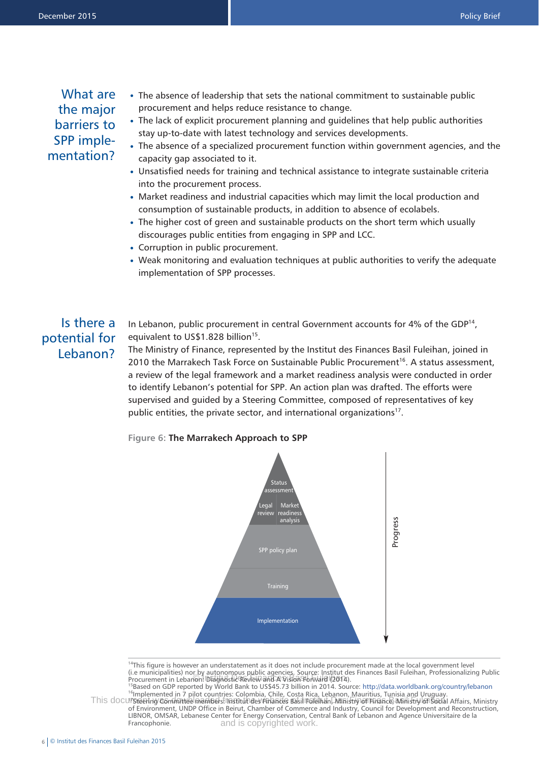### What are the major barriers to SPP implementation?

- The absence of leadership that sets the national commitment to sustainable public procurement and helps reduce resistance to change.
- The lack of explicit procurement planning and guidelines that help public authorities stay up-to-date with latest technology and services developments.
- The absence of a specialized procurement function within government agencies, and the capacity gap associated to it.
- Unsatisfied needs for training and technical assistance to integrate sustainable criteria into the procurement process.
- Market readiness and industrial capacities which may limit the local production and consumption of sustainable products, in addition to absence of ecolabels.
- The higher cost of green and sustainable products on the short term which usually discourages public entities from engaging in SPP and LCC.
- Corruption in public procurement.
- Weak monitoring and evaluation techniques at public authorities to verify the adequate implementation of SPP processes.

### Is there a potential for Lebanon?

In Lebanon, public procurement in central Government accounts for 4% of the GDP $^{14}$ . equivalent to US\$1.828 billion<sup>15</sup>.

The Ministry of Finance, represented by the Institut des Finances Basil Fuleihan, joined in 2010 the Marrakech Task Force on Sustainable Public Procurement<sup>16</sup>. A status assessment, a review of the legal framework and a market readiness analysis were conducted in order to identify Lebanon's potential for SPP. An action plan was drafted. The efforts were supervised and guided by a Steering Committee, composed of representatives of key public entities, the private sector, and international organizations<sup>17</sup>.





<sup>14</sup>This figure is however an understatement as it does not include procurement made at the local government level (i.e municipalities) nor by autonomous public agencies. Source: Institut des Finances Basil Fuleihan, Professionalizing Public The municipalities, nor by autonomous plant agencies, source: institut de<br>Procurement in Lebanon: Diagnostic Review and A Vision Forward (2014).

15Based on GDP reported by World Bank to US\$45.73 billion in 2014. Source: http://data.worldbank.org/country/lebanon<br><sup>16</sup>Implemented in 7 pilot countries: Colombia, Chile, Costa Rica, Lebanon, Mauritius, Tunisia and Urugua This document of Gommittee members instituti des Finances Basil Fuleihan, Ministry of Finance, Ministry of Social Affairs, Ministry of Environment, UNDP Office in Beirut, Chamber of Commerce and Industry, Council for Development and Reconstruction, LIBNOR, OMSAR, Lebanese Center for Energy Conservation, Central Bank of Lebanon and Agence Universitaire de la Francophonie. and is copyrighted work.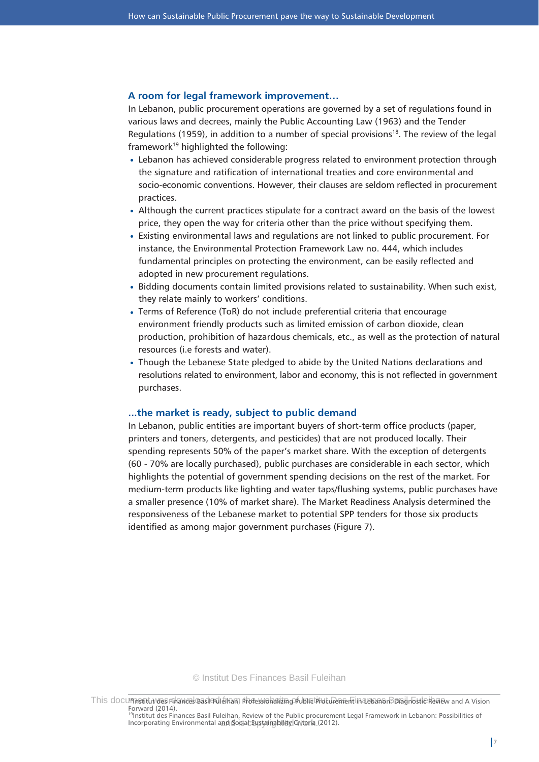### **A room for legal framework improvement…**

In Lebanon, public procurement operations are governed by a set of regulations found in various laws and decrees, mainly the Public Accounting Law (1963) and the Tender Regulations (1959), in addition to a number of special provisions<sup>18</sup>. The review of the legal framework<sup>19</sup> highlighted the following:

- Lebanon has achieved considerable progress related to environment protection through the signature and ratification of international treaties and core environmental and socio-economic conventions. However, their clauses are seldom reflected in procurement practices.
- Although the current practices stipulate for a contract award on the basis of the lowest price, they open the way for criteria other than the price without specifying them.
- Existing environmental laws and regulations are not linked to public procurement. For instance, the Environmental Protection Framework Law no. 444, which includes fundamental principles on protecting the environment, can be easily reflected and adopted in new procurement regulations.
- Bidding documents contain limited provisions related to sustainability. When such exist, they relate mainly to workers' conditions.
- Terms of Reference (ToR) do not include preferential criteria that encourage environment friendly products such as limited emission of carbon dioxide, clean production, prohibition of hazardous chemicals, etc., as well as the protection of natural resources (i.e forests and water).
- Though the Lebanese State pledged to abide by the United Nations declarations and resolutions related to environment, labor and economy, this is not reflected in government purchases.

### **...the market is ready, subject to public demand**

In Lebanon, public entities are important buyers of short-term office products (paper, printers and toners, detergents, and pesticides) that are not produced locally. Their spending represents 50% of the paper's market share. With the exception of detergents (60 - 70% are locally purchased), public purchases are considerable in each sector, which highlights the potential of government spending decisions on the rest of the market. For medium-term products like lighting and water taps/flushing systems, public purchases have a smaller presence (10% of market share). The Market Readiness Analysis determined the responsiveness of the Lebanese market to potential SPP tenders for those six products identified as among major government purchases (Figure 7).

© Institut Des Finances Basil Fuleihan

This documentuvaes Finances was le fuleinam, photessionalizing of Julia broch a linance ment Diagnostic Review and A Vision Forward (2014).

<sup>19</sup>Institut des Finances Basil Fuleihan, Review of the Public procurement Legal Framework in Lebanon: Possibilities of Incorporating Environmental and Social Sustainability Criteria (2012).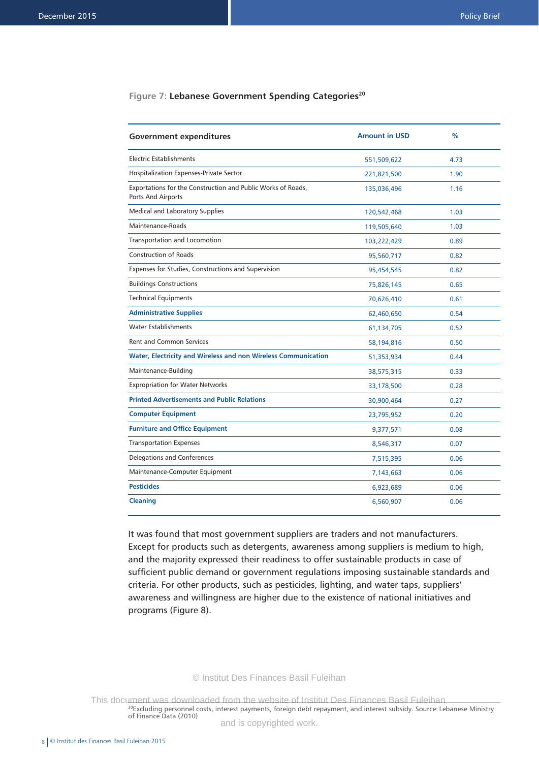### Figure 7: Lebanese Government Spending Categories<sup>20</sup>

| <b>Government expenditures</b>                                                     | <b>Amount in USD</b> | $\frac{0}{0}$ |
|------------------------------------------------------------------------------------|----------------------|---------------|
| <b>Electric Establishments</b>                                                     | 551,509,622          | 4.73          |
| <b>Hospitalization Expenses-Private Sector</b>                                     | 221,821,500          | 1.90          |
| Exportations for the Construction and Public Works of Roads,<br>Ports And Airports | 135,036,496          | 1.16          |
| <b>Medical and Laboratory Supplies</b>                                             | 120,542,468          | 1.03          |
| Maintenance-Roads                                                                  | 119,505,640          | 1.03          |
| Transportation and Locomotion                                                      | 103,222,429          | 0.89          |
| <b>Construction of Roads</b>                                                       | 95,560,717           | 0.82          |
| Expenses for Studies, Constructions and Supervision                                | 95,454,545           | 0.82          |
| <b>Buildings Constructions</b>                                                     | 75,826,145           | 0.65          |
| <b>Technical Equipments</b>                                                        | 70,626,410           | 0.61          |
| <b>Administrative Supplies</b>                                                     | 62,460,650           | 0.54          |
| <b>Water Establishments</b>                                                        | 61,134,705           | 0.52          |
| <b>Rent and Common Services</b>                                                    | 58,194,816           | 0.50          |
| Water, Electricity and Wireless and non Wireless Communication                     | 51,353,934           | 0.44          |
| Maintenance-Building                                                               | 38,575,315           | 0.33          |
| <b>Expropriation for Water Networks</b>                                            | 33,178,500           | 0.28          |
| <b>Printed Advertisements and Public Relations</b>                                 | 30,900,464           | 0.27          |
| <b>Computer Equipment</b>                                                          | 23,795,952           | 0.20          |
| <b>Furniture and Office Equipment</b>                                              | 9,377,571            | 0.08          |
| <b>Transportation Expenses</b>                                                     | 8,546,317            | 0.07          |
| Delegations and Conferences                                                        | 7,515,395            | 0.06          |
| Maintenance-Computer Equipment                                                     | 7,143,663            | 0.06          |
| <b>Pesticides</b>                                                                  | 6,923,689            | 0.06          |
| <b>Cleaning</b>                                                                    | 6,560,907            | 0.06          |

It was found that most government suppliers are traders and not manufacturers. Except for products such as detergents, awareness among suppliers is medium to high, and the majority expressed their readiness to offer sustainable products in case of sufficient public demand or government regulations imposing sustainable standards and criteria. For other products, such as pesticides, lighting, and water taps, suppliers' awareness and willingness are higher due to the existence of national initiatives and programs (Figure 8).

#### © Institut Des Finances Basil Fuleihan

<sup>20</sup>Excluding personnel costs, interest payments, foreign debt repayment, and interest subsidy. Source: Lebanese Ministry of Finance Data (2010) This document was downloaded from the website of Institut Des Finances Basil Fuleihan

and is copyrighted work.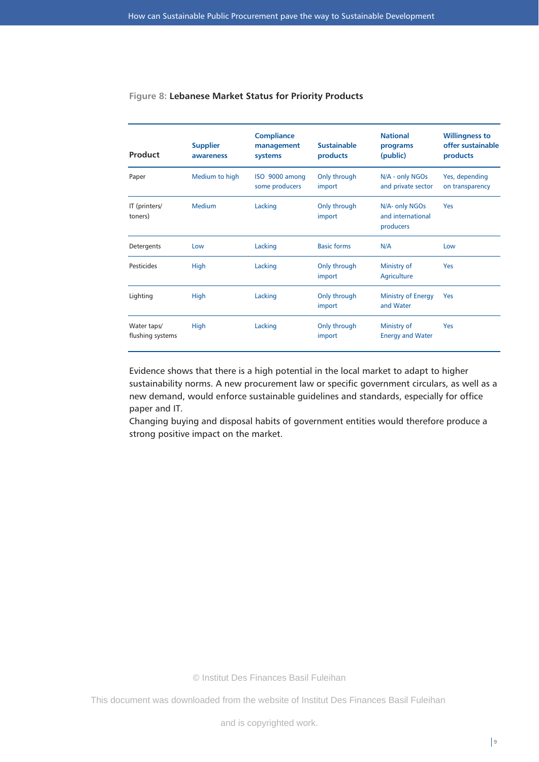| Product                         | <b>Supplier</b><br>awareness | <b>Compliance</b><br>management<br>systems | <b>Sustainable</b><br>products | <b>National</b><br>programs<br>(public)          | <b>Willingness to</b><br>offer sustainable<br>products |
|---------------------------------|------------------------------|--------------------------------------------|--------------------------------|--------------------------------------------------|--------------------------------------------------------|
| Paper                           | Medium to high               | ISO 9000 among<br>some producers           | Only through<br>import         | N/A - only NGOs<br>and private sector            | Yes, depending<br>on transparency                      |
| IT (printers/<br>toners)        | <b>Medium</b>                | Lacking                                    | Only through<br>import         | N/A- only NGOs<br>and international<br>producers | Yes                                                    |
| Detergents                      | Low                          | Lacking                                    | <b>Basic forms</b>             | N/A                                              | Low                                                    |
| Pesticides                      | High                         | Lacking                                    | Only through<br>import         | Ministry of<br>Agriculture                       | Yes                                                    |
| Lighting                        | High                         | Lacking                                    | Only through<br>import         | <b>Ministry of Energy</b><br>and Water           | Yes                                                    |
| Water taps/<br>flushing systems | High                         | Lacking                                    | Only through<br>import         | Ministry of<br><b>Energy and Water</b>           | Yes                                                    |

### **Figure 8: Lebanese Market Status for Priority Products**

Evidence shows that there is a high potential in the local market to adapt to higher sustainability norms. A new procurement law or specific government circulars, as well as a new demand, would enforce sustainable guidelines and standards, especially for office paper and IT.

Changing buying and disposal habits of government entities would therefore produce a strong positive impact on the market.

© Institut Des Finances Basil Fuleihan

This document was downloaded from the website of Institut Des Finances Basil Fuleihan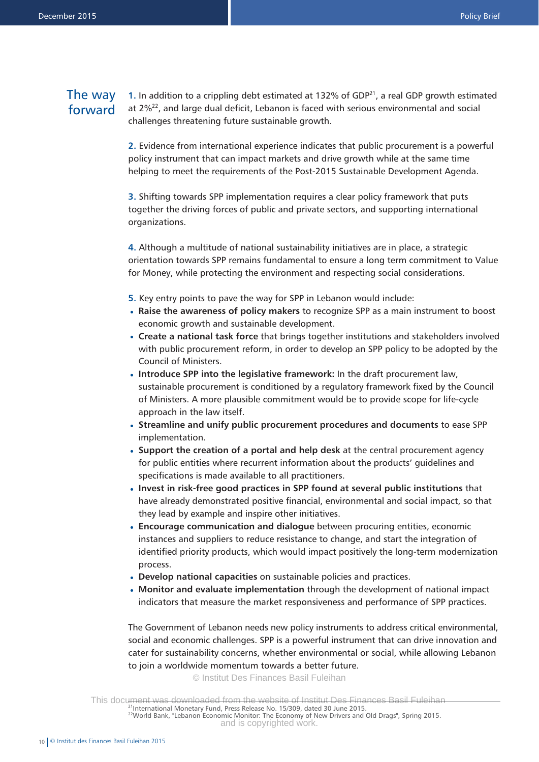### The way forward

**1.** In addition to a crippling debt estimated at 132% of GDP $^{21}$ , a real GDP growth estimated at 2%22, and large dual deficit, Lebanon is faced with serious environmental and social challenges threatening future sustainable growth.

**2.** Evidence from international experience indicates that public procurement is a powerful policy instrument that can impact markets and drive growth while at the same time helping to meet the requirements of the Post-2015 Sustainable Development Agenda.

**3.** Shifting towards SPP implementation requires a clear policy framework that puts together the driving forces of public and private sectors, and supporting international organizations.

**4.** Although a multitude of national sustainability initiatives are in place, a strategic orientation towards SPP remains fundamental to ensure a long term commitment to Value for Money, while protecting the environment and respecting social considerations.

- **5.** Key entry points to pave the way for SPP in Lebanon would include:
- **Raise the awareness of policy makers** to recognize SPP as a main instrument to boost economic growth and sustainable development.
- **Create a national task force** that brings together institutions and stakeholders involved with public procurement reform, in order to develop an SPP policy to be adopted by the Council of Ministers.
- **Introduce SPP into the legislative framework:** In the draft procurement law, sustainable procurement is conditioned by a regulatory framework fixed by the Council of Ministers. A more plausible commitment would be to provide scope for life-cycle approach in the law itself.
- **Streamline and unify public procurement procedures and documents** to ease SPP implementation.
- **Support the creation of a portal and help desk** at the central procurement agency for public entities where recurrent information about the products' guidelines and specifications is made available to all practitioners.
- **Invest in risk-free good practices in SPP found at several public institutions** that have already demonstrated positive financial, environmental and social impact, so that they lead by example and inspire other initiatives.
- **Encourage communication and dialogue** between procuring entities, economic instances and suppliers to reduce resistance to change, and start the integration of identified priority products, which would impact positively the long-term modernization process.
- **Develop national capacities** on sustainable policies and practices. •
- **Monitor and evaluate implementation** through the development of national impact indicators that measure the market responsiveness and performance of SPP practices.

The Government of Lebanon needs new policy instruments to address critical environmental, social and economic challenges. SPP is a powerful instrument that can drive innovation and cater for sustainability concerns, whether environmental or social, while allowing Lebanon to join a worldwide momentum towards a better future.

© Institut Des Finances Basil Fuleihan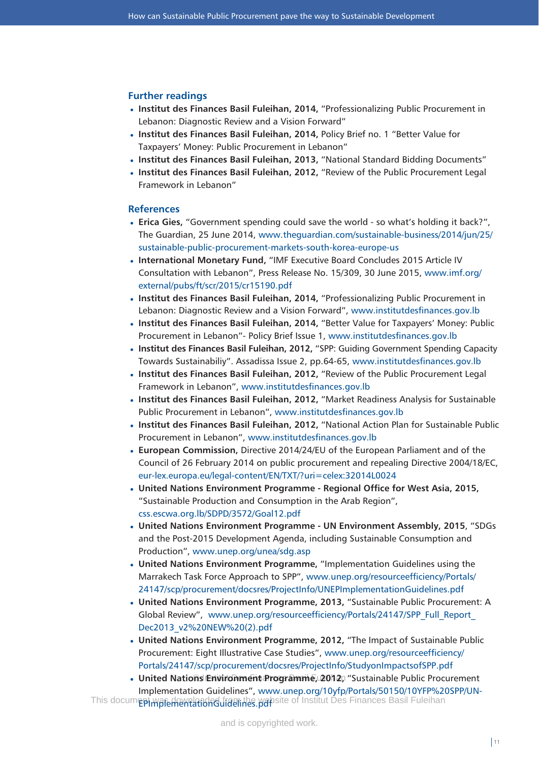#### **Further readings**

- **Institut des Finances Basil Fuleihan, 2014,** "Professionalizing Public Procurement in Lebanon: Diagnostic Review and a Vision Forward"
- Institut des Finances Basil Fuleihan, 2014, Policy Brief no. 1 "Better Value for Taxpayers' Money: Public Procurement in Lebanon"
- **Institut des Finances Basil Fuleihan, 2013,** "National Standard Bidding Documents" •
- **Institut des Finances Basil Fuleihan, 2012,** "Review of the Public Procurement Legal Framework in Lebanon"

### **References**

- Erica Gies, "Government spending could save the world so what's holding it back?", The Guardian, 25 June 2014, www.theguardian.com/sustainable-business/2014/jun/25/ sustainable-public-procurement-markets-south-korea-europe-us
- **International Monetary Fund,** "IMF Executive Board Concludes 2015 Article IV Consultation with Lebanon", Press Release No. 15/309, 30 June 2015, www.imf.org/ external/pubs/ft/scr/2015/cr15190.pdf
- **Institut des Finances Basil Fuleihan, 2014,** "Professionalizing Public Procurement in Lebanon: Diagnostic Review and a Vision Forward", www.institutdesfinances.gov.lb
- Institut des Finances Basil Fuleihan, 2014, "Better Value for Taxpayers' Money: Public Procurement in Lebanon"- Policy Brief Issue 1, www.institutdesfinances.gov.lb
- Institut des Finances Basil Fuleihan, 2012, "SPP: Guiding Government Spending Capacity Towards Sustainabiliy". Assadissa Issue 2, pp.64-65, www.institutdesfinances.gov.lb
- **Institut des Finances Basil Fuleihan, 2012,** "Review of the Public Procurement Legal Framework in Lebanon", www.institutdesfinances.gov.lb
- **Institut des Finances Basil Fuleihan, 2012,** "Market Readiness Analysis for Sustainable Public Procurement in Lebanon", www.institutdesfinances.gov.lb
- **Institut des Finances Basil Fuleihan, 2012,** "National Action Plan for Sustainable Public Procurement in Lebanon", www.institutdesfinances.gov.lb
- **European Commission,** Directive 2014/24/EU of the European Parliament and of the Council of 26 February 2014 on public procurement and repealing Directive 2004/18/EC, eur-lex.europa.eu/legal-content/EN/TXT/?uri=celex:32014L0024
- **United Nations Environment Programme Regional Office for West Asia, 2015,** "Sustainable Production and Consumption in the Arab Region", css.escwa.org.lb/SDPD/3572/Goal12.pdf
- **United Nations Environment Programme UN Environment Assembly, 2015**, "SDGs and the Post-2015 Development Agenda, including Sustainable Consumption and Production", www.unep.org/unea/sdg.asp
- **United Nations Environment Programme,** "Implementation Guidelines using the Marrakech Task Force Approach to SPP", www.unep.org/resourceefficiency/Portals/ 24147/scp/procurement/docsres/ProjectInfo/UNEPImplementationGuidelines.pdf
- **United Nations Environment Programme, 2013,** "Sustainable Public Procurement: A Global Review", www.unep.org/resourceefficiency/Portals/24147/SPP\_Full\_Report\_ Dec2013\_v2%20NEW%20(2).pdf
- **United Nations Environment Programme, 2012,** "The Impact of Sustainable Public Procurement: Eight Illustrative Case Studies", www.unep.org/resourceefficiency/ Portals/24147/scp/procurement/docsres/ProjectInfo/StudyonImpactsofSPP.pdf
- United Nations Environment Programme, 2012, "Sustainable Public Procurement Implementation Guidelines", www.unep.org/10yfp/Portals/50150/10YFP%20SPP/UN-This docum**epi waferhemtationed fram the wa**bsite of Institut Des Finances Basil Fuleihan